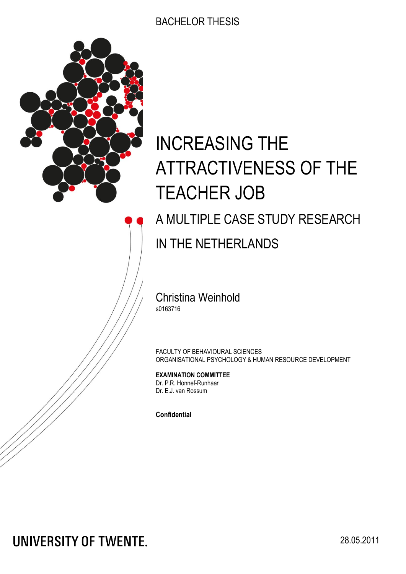

# INCREASING THE ATTRACTIVENESS OF THE TEACHER JOB

# A MULTIPLE CASE STUDY RESEARCH

## IN THE NETHERLANDS

Christina Weinhold s0163716

FACULTY OF BEHAVIOURAL SCIENCES ORGANISATIONAL PSYCHOLOGY & HUMAN RESOURCE DEVELOPMENT

#### **EXAMINATION COMMITTEE** Dr. P.R. Honnef-Runhaar

Dr. E.J. van Rossum

**Confidential**

**UNIVERSITY OF TWENTE.**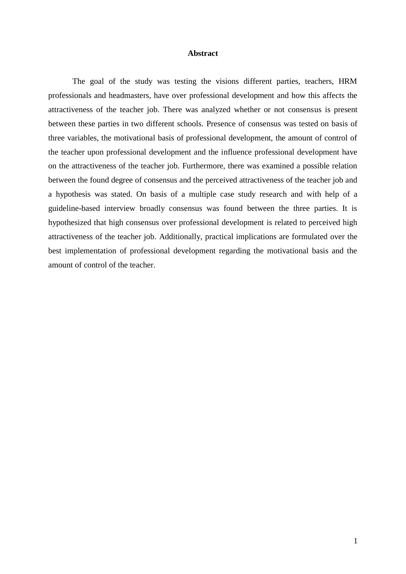#### **Abstract**

The goal of the study was testing the visions different parties, teachers, HRM professionals and headmasters, have over professional development and how this affects the attractiveness of the teacher job. There was analyzed whether or not consensus is present between these parties in two different schools. Presence of consensus was tested on basis of three variables, the motivational basis of professional development, the amount of control of the teacher upon professional development and the influence professional development have on the attractiveness of the teacher job. Furthermore, there was examined a possible relation between the found degree of consensus and the perceived attractiveness of the teacher job and a hypothesis was stated. On basis of a multiple case study research and with help of a guideline-based interview broadly consensus was found between the three parties. It is hypothesized that high consensus over professional development is related to perceived high attractiveness of the teacher job. Additionally, practical implications are formulated over the best implementation of professional development regarding the motivational basis and the amount of control of the teacher.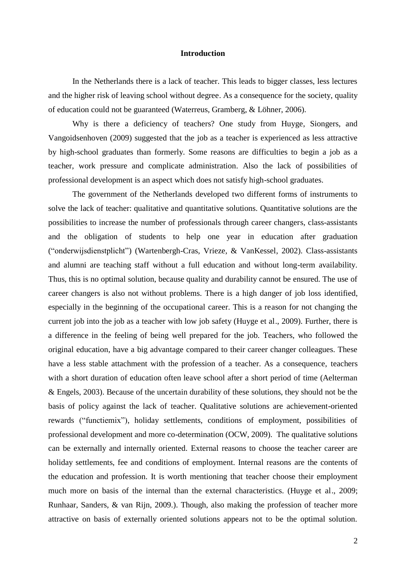#### **Introduction**

In the Netherlands there is a lack of teacher. This leads to bigger classes, less lectures and the higher risk of leaving school without degree. As a consequence for the society, quality of education could not be guaranteed (Waterreus, Gramberg, & Löhner, 2006).

Why is there a deficiency of teachers? One study from Huyge, Siongers, and Vangoidsenhoven (2009) suggested that the job as a teacher is experienced as less attractive by high-school graduates than formerly. Some reasons are difficulties to begin a job as a teacher, work pressure and complicate administration. Also the lack of possibilities of professional development is an aspect which does not satisfy high-school graduates.

The government of the Netherlands developed two different forms of instruments to solve the lack of teacher: qualitative and quantitative solutions. Quantitative solutions are the possibilities to increase the number of professionals through career changers, class-assistants and the obligation of students to help one year in education after graduation ("onderwijsdienstplicht") (Wartenbergh-Cras, Vrieze, & VanKessel, 2002). Class-assistants and alumni are teaching staff without a full education and without long-term availability. Thus, this is no optimal solution, because quality and durability cannot be ensured. The use of career changers is also not without problems. There is a high danger of job loss identified, especially in the beginning of the occupational career. This is a reason for not changing the current job into the job as a teacher with low job safety (Huyge et al., 2009). Further, there is a difference in the feeling of being well prepared for the job. Teachers, who followed the original education, have a big advantage compared to their career changer colleagues. These have a less stable attachment with the profession of a teacher. As a consequence, teachers with a short duration of education often leave school after a short period of time (Aelterman & Engels, 2003). Because of the uncertain durability of these solutions, they should not be the basis of policy against the lack of teacher. Qualitative solutions are achievement-oriented rewards ("functiemix"), holiday settlements, conditions of employment, possibilities of professional development and more co-determination (OCW, 2009). The qualitative solutions can be externally and internally oriented. External reasons to choose the teacher career are holiday settlements, fee and conditions of employment. Internal reasons are the contents of the education and profession. It is worth mentioning that teacher choose their employment much more on basis of the internal than the external characteristics. (Huyge et al., 2009; Runhaar, Sanders, & van Rijn, 2009.). Though, also making the profession of teacher more attractive on basis of externally oriented solutions appears not to be the optimal solution.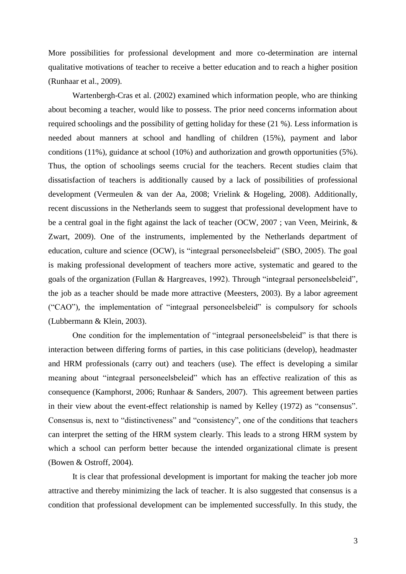More possibilities for professional development and more co-determination are internal qualitative motivations of teacher to receive a better education and to reach a higher position (Runhaar et al., 2009).

Wartenbergh-Cras et al. (2002) examined which information people, who are thinking about becoming a teacher, would like to possess. The prior need concerns information about required schoolings and the possibility of getting holiday for these (21 %). Less information is needed about manners at school and handling of children (15%), payment and labor conditions (11%), guidance at school (10%) and authorization and growth opportunities (5%). Thus, the option of schoolings seems crucial for the teachers. Recent studies claim that dissatisfaction of teachers is additionally caused by a lack of possibilities of professional development (Vermeulen & van der Aa, 2008; Vrielink & Hogeling, 2008). Additionally, recent discussions in the Netherlands seem to suggest that professional development have to be a central goal in the fight against the lack of teacher (OCW, 2007 ; van Veen, Meirink, & Zwart, 2009). One of the instruments, implemented by the Netherlands department of education, culture and science (OCW), is "integraal personeelsbeleid" (SBO, 2005). The goal is making professional development of teachers more active, systematic and geared to the goals of the organization (Fullan & Hargreaves, 1992). Through "integraal personeelsbeleid", the job as a teacher should be made more attractive (Meesters, 2003). By a labor agreement ("CAO"), the implementation of "integraal personeelsbeleid" is compulsory for schools (Lubbermann & Klein, 2003).

One condition for the implementation of "integraal personeelsbeleid" is that there is interaction between differing forms of parties, in this case politicians (develop), headmaster and HRM professionals (carry out) and teachers (use). The effect is developing a similar meaning about "integraal personeelsbeleid" which has an effective realization of this as consequence (Kamphorst, 2006; Runhaar & Sanders, 2007). This agreement between parties in their view about the event-effect relationship is named by Kelley (1972) as "consensus". Consensus is, next to "distinctiveness" and "consistency", one of the conditions that teachers can interpret the setting of the HRM system clearly. This leads to a strong HRM system by which a school can perform better because the intended organizational climate is present (Bowen & Ostroff, 2004).

It is clear that professional development is important for making the teacher job more attractive and thereby minimizing the lack of teacher. It is also suggested that consensus is a condition that professional development can be implemented successfully. In this study, the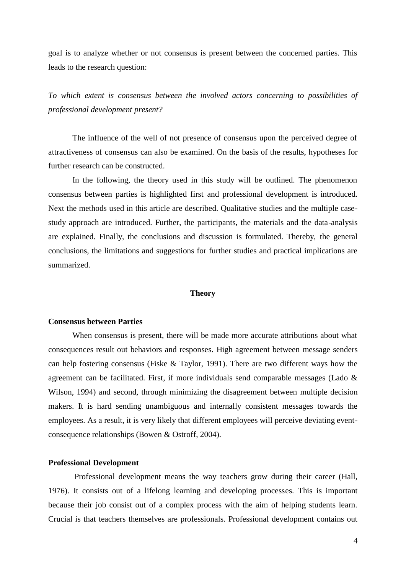goal is to analyze whether or not consensus is present between the concerned parties. This leads to the research question:

*To which extent is consensus between the involved actors concerning to possibilities of professional development present?*

The influence of the well of not presence of consensus upon the perceived degree of attractiveness of consensus can also be examined. On the basis of the results, hypotheses for further research can be constructed.

In the following, the theory used in this study will be outlined. The phenomenon consensus between parties is highlighted first and professional development is introduced. Next the methods used in this article are described. Qualitative studies and the multiple casestudy approach are introduced. Further, the participants, the materials and the data-analysis are explained. Finally, the conclusions and discussion is formulated. Thereby, the general conclusions, the limitations and suggestions for further studies and practical implications are summarized.

#### **Theory**

#### **Consensus between Parties**

When consensus is present, there will be made more accurate attributions about what consequences result out behaviors and responses. High agreement between message senders can help fostering consensus (Fiske & Taylor, 1991). There are two different ways how the agreement can be facilitated. First, if more individuals send comparable messages (Lado & Wilson, 1994) and second, through minimizing the disagreement between multiple decision makers. It is hard sending unambiguous and internally consistent messages towards the employees. As a result, it is very likely that different employees will perceive deviating eventconsequence relationships (Bowen & Ostroff, 2004).

#### **Professional Development**

Professional development means the way teachers grow during their career (Hall, 1976). It consists out of a lifelong learning and developing processes. This is important because their job consist out of a complex process with the aim of helping students learn. Crucial is that teachers themselves are professionals. Professional development contains out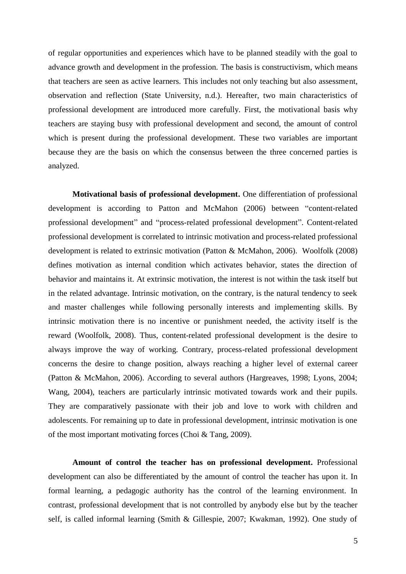of regular opportunities and experiences which have to be planned steadily with the goal to advance growth and development in the profession. The basis is constructivism, which means that teachers are seen as active learners. This includes not only teaching but also assessment, observation and reflection (State University, n.d.). Hereafter, two main characteristics of professional development are introduced more carefully. First, the motivational basis why teachers are staying busy with professional development and second, the amount of control which is present during the professional development. These two variables are important because they are the basis on which the consensus between the three concerned parties is analyzed.

**Motivational basis of professional development.** One differentiation of professional development is according to Patton and McMahon (2006) between "content-related professional development" and "process-related professional development". Content-related professional development is correlated to intrinsic motivation and process-related professional development is related to extrinsic motivation (Patton & McMahon, 2006). Woolfolk (2008) defines motivation as internal condition which activates behavior, states the direction of behavior and maintains it. At extrinsic motivation, the interest is not within the task itself but in the related advantage. Intrinsic motivation, on the contrary, is the natural tendency to seek and master challenges while following personally interests and implementing skills. By intrinsic motivation there is no incentive or punishment needed, the activity itself is the reward (Woolfolk, 2008). Thus, content-related professional development is the desire to always improve the way of working. Contrary, process-related professional development concerns the desire to change position, always reaching a higher level of external career (Patton & McMahon, 2006). According to several authors (Hargreaves, 1998; Lyons, 2004; Wang, 2004), teachers are particularly intrinsic motivated towards work and their pupils. They are comparatively passionate with their job and love to work with children and adolescents. For remaining up to date in professional development, intrinsic motivation is one of the most important motivating forces (Choi & Tang, 2009).

**Amount of control the teacher has on professional development.** Professional development can also be differentiated by the amount of control the teacher has upon it. In formal learning, a pedagogic authority has the control of the learning environment. In contrast, professional development that is not controlled by anybody else but by the teacher self, is called informal learning (Smith & Gillespie, 2007; Kwakman, 1992). One study of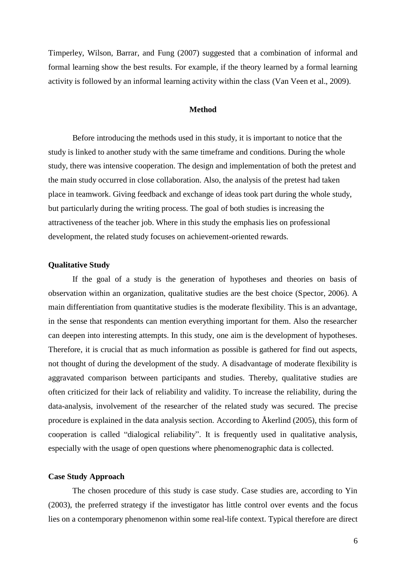Timperley, Wilson, Barrar, and Fung (2007) suggested that a combination of informal and formal learning show the best results. For example, if the theory learned by a formal learning activity is followed by an informal learning activity within the class (Van Veen et al., 2009).

#### **Method**

Before introducing the methods used in this study, it is important to notice that the study is linked to another study with the same timeframe and conditions. During the whole study, there was intensive cooperation. The design and implementation of both the pretest and the main study occurred in close collaboration. Also, the analysis of the pretest had taken place in teamwork. Giving feedback and exchange of ideas took part during the whole study, but particularly during the writing process. The goal of both studies is increasing the attractiveness of the teacher job. Where in this study the emphasis lies on professional development, the related study focuses on achievement-oriented rewards.

#### **Qualitative Study**

If the goal of a study is the generation of hypotheses and theories on basis of observation within an organization, qualitative studies are the best choice (Spector, 2006). A main differentiation from quantitative studies is the moderate flexibility. This is an advantage, in the sense that respondents can mention everything important for them. Also the researcher can deepen into interesting attempts. In this study, one aim is the development of hypotheses. Therefore, it is crucial that as much information as possible is gathered for find out aspects, not thought of during the development of the study. A disadvantage of moderate flexibility is aggravated comparison between participants and studies. Thereby, qualitative studies are often criticized for their lack of reliability and validity. To increase the reliability, during the data-analysis, involvement of the researcher of the related study was secured. The precise procedure is explained in the data analysis section. According to Åkerlind (2005), this form of cooperation is called "dialogical reliability". It is frequently used in qualitative analysis, especially with the usage of open questions where phenomenographic data is collected.

#### **Case Study Approach**

The chosen procedure of this study is case study. Case studies are, according to Yin (2003), the preferred strategy if the investigator has little control over events and the focus lies on a contemporary phenomenon within some real-life context. Typical therefore are direct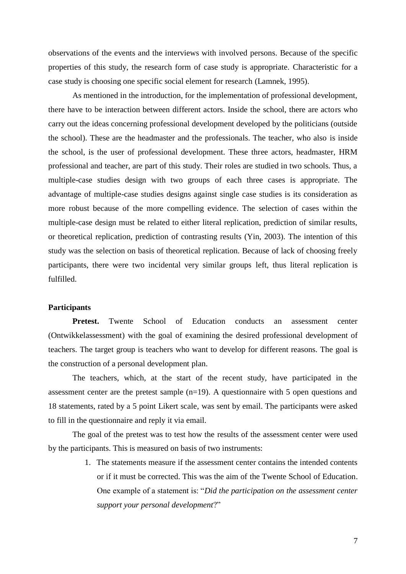observations of the events and the interviews with involved persons. Because of the specific properties of this study, the research form of case study is appropriate. Characteristic for a case study is choosing one specific social element for research (Lamnek, 1995).

As mentioned in the introduction, for the implementation of professional development, there have to be interaction between different actors. Inside the school, there are actors who carry out the ideas concerning professional development developed by the politicians (outside the school). These are the headmaster and the professionals. The teacher, who also is inside the school, is the user of professional development. These three actors, headmaster, HRM professional and teacher, are part of this study. Their roles are studied in two schools. Thus, a multiple-case studies design with two groups of each three cases is appropriate. The advantage of multiple-case studies designs against single case studies is its consideration as more robust because of the more compelling evidence. The selection of cases within the multiple-case design must be related to either literal replication, prediction of similar results, or theoretical replication, prediction of contrasting results (Yin, 2003). The intention of this study was the selection on basis of theoretical replication. Because of lack of choosing freely participants, there were two incidental very similar groups left, thus literal replication is fulfilled.

#### **Participants**

**Pretest.** Twente School of Education conducts an assessment center (Ontwikkelassessment) with the goal of examining the desired professional development of teachers. The target group is teachers who want to develop for different reasons. The goal is the construction of a personal development plan.

The teachers, which, at the start of the recent study, have participated in the assessment center are the pretest sample  $(n=19)$ . A questionnaire with 5 open questions and 18 statements, rated by a 5 point Likert scale, was sent by email. The participants were asked to fill in the questionnaire and reply it via email.

The goal of the pretest was to test how the results of the assessment center were used by the participants. This is measured on basis of two instruments:

> 1. The statements measure if the assessment center contains the intended contents or if it must be corrected. This was the aim of the Twente School of Education. One example of a statement is: "*Did the participation on the assessment center support your personal development*?"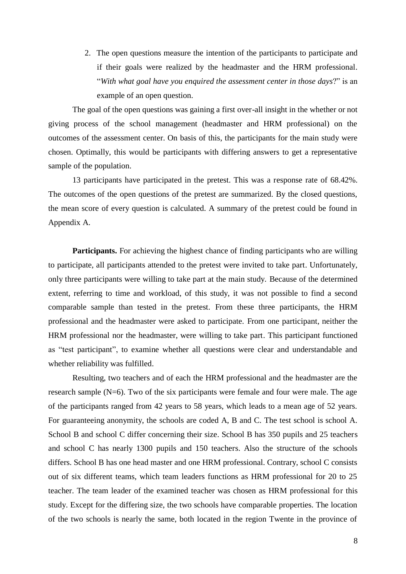2. The open questions measure the intention of the participants to participate and if their goals were realized by the headmaster and the HRM professional. "*With what goal have you enquired the assessment center in those days*?" is an example of an open question.

The goal of the open questions was gaining a first over-all insight in the whether or not giving process of the school management (headmaster and HRM professional) on the outcomes of the assessment center. On basis of this, the participants for the main study were chosen. Optimally, this would be participants with differing answers to get a representative sample of the population.

13 participants have participated in the pretest. This was a response rate of 68.42%. The outcomes of the open questions of the pretest are summarized. By the closed questions, the mean score of every question is calculated. A summary of the pretest could be found in Appendix A.

**Participants.** For achieving the highest chance of finding participants who are willing to participate, all participants attended to the pretest were invited to take part. Unfortunately, only three participants were willing to take part at the main study. Because of the determined extent, referring to time and workload, of this study, it was not possible to find a second comparable sample than tested in the pretest. From these three participants, the HRM professional and the headmaster were asked to participate. From one participant, neither the HRM professional nor the headmaster, were willing to take part. This participant functioned as "test participant", to examine whether all questions were clear and understandable and whether reliability was fulfilled.

Resulting, two teachers and of each the HRM professional and the headmaster are the research sample (N=6). Two of the six participants were female and four were male. The age of the participants ranged from 42 years to 58 years, which leads to a mean age of 52 years. For guaranteeing anonymity, the schools are coded A, B and C. The test school is school A. School B and school C differ concerning their size. School B has 350 pupils and 25 teachers and school C has nearly 1300 pupils and 150 teachers. Also the structure of the schools differs. School B has one head master and one HRM professional. Contrary, school C consists out of six different teams, which team leaders functions as HRM professional for 20 to 25 teacher. The team leader of the examined teacher was chosen as HRM professional for this study. Except for the differing size, the two schools have comparable properties. The location of the two schools is nearly the same, both located in the region Twente in the province of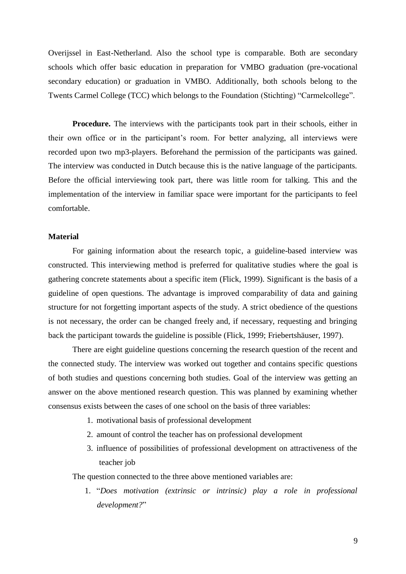Overijssel in East-Netherland. Also the school type is comparable. Both are secondary schools which offer basic education in preparation for VMBO graduation (pre-vocational secondary education) or graduation in VMBO. Additionally, both schools belong to the Twents Carmel College (TCC) which belongs to the Foundation (Stichting) "Carmelcollege".

**Procedure.** The interviews with the participants took part in their schools, either in their own office or in the participant's room. For better analyzing, all interviews were recorded upon two mp3-players. Beforehand the permission of the participants was gained. The interview was conducted in Dutch because this is the native language of the participants. Before the official interviewing took part, there was little room for talking. This and the implementation of the interview in familiar space were important for the participants to feel comfortable.

#### **Material**

For gaining information about the research topic, a guideline-based interview was constructed. This interviewing method is preferred for qualitative studies where the goal is gathering concrete statements about a specific item (Flick, 1999). Significant is the basis of a guideline of open questions. The advantage is improved comparability of data and gaining structure for not forgetting important aspects of the study. A strict obedience of the questions is not necessary, the order can be changed freely and, if necessary, requesting and bringing back the participant towards the guideline is possible (Flick, 1999; Friebertshäuser, 1997).

There are eight guideline questions concerning the research question of the recent and the connected study. The interview was worked out together and contains specific questions of both studies and questions concerning both studies. Goal of the interview was getting an answer on the above mentioned research question. This was planned by examining whether consensus exists between the cases of one school on the basis of three variables:

- 1. motivational basis of professional development
- 2. amount of control the teacher has on professional development
- 3. influence of possibilities of professional development on attractiveness of the teacher job

The question connected to the three above mentioned variables are:

1. "*Does motivation (extrinsic or intrinsic) play a role in professional development?*"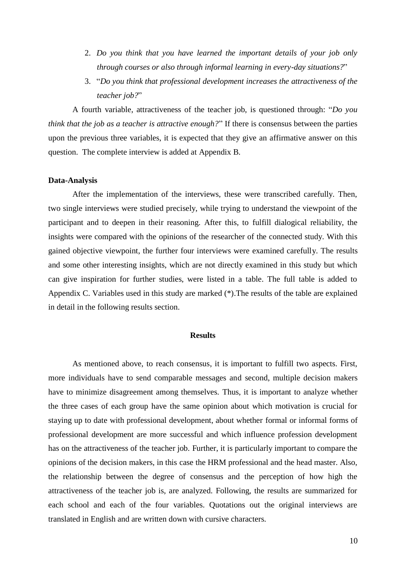- 2. *Do you think that you have learned the important details of your job only through courses or also through informal learning in every-day situations?*"
- 3. "*Do you think that professional development increases the attractiveness of the teacher job?*"

A fourth variable, attractiveness of the teacher job, is questioned through: "*Do you think that the job as a teacher is attractive enough?*" If there is consensus between the parties upon the previous three variables, it is expected that they give an affirmative answer on this question. The complete interview is added at Appendix B.

#### **Data-Analysis**

After the implementation of the interviews, these were transcribed carefully. Then, two single interviews were studied precisely, while trying to understand the viewpoint of the participant and to deepen in their reasoning. After this, to fulfill dialogical reliability, the insights were compared with the opinions of the researcher of the connected study. With this gained objective viewpoint, the further four interviews were examined carefully. The results and some other interesting insights, which are not directly examined in this study but which can give inspiration for further studies, were listed in a table. The full table is added to Appendix C. Variables used in this study are marked (\*).The results of the table are explained in detail in the following results section.

#### **Results**

As mentioned above, to reach consensus, it is important to fulfill two aspects. First, more individuals have to send comparable messages and second, multiple decision makers have to minimize disagreement among themselves. Thus, it is important to analyze whether the three cases of each group have the same opinion about which motivation is crucial for staying up to date with professional development, about whether formal or informal forms of professional development are more successful and which influence profession development has on the attractiveness of the teacher job. Further, it is particularly important to compare the opinions of the decision makers, in this case the HRM professional and the head master. Also, the relationship between the degree of consensus and the perception of how high the attractiveness of the teacher job is, are analyzed. Following, the results are summarized for each school and each of the four variables. Quotations out the original interviews are translated in English and are written down with cursive characters.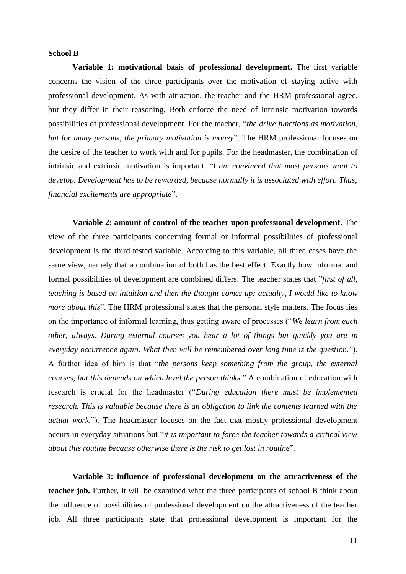#### **School B**

**Variable 1: motivational basis of professional development.** The first variable concerns the vision of the three participants over the motivation of staying active with professional development. As with attraction, the teacher and the HRM professional agree, but they differ in their reasoning. Both enforce the need of intrinsic motivation towards possibilities of professional development. For the teacher, "*the drive functions as motivation, but for many persons, the primary motivation is money*". The HRM professional focuses on the desire of the teacher to work with and for pupils. For the headmaster, the combination of intrinsic and extrinsic motivation is important. "*I am convinced that most persons want to develop. Development has to be rewarded, because normally it is associated with effort. Thus, financial excitements are appropriate*".

**Variable 2: amount of control of the teacher upon professional development.** The view of the three participants concerning formal or informal possibilities of professional development is the third tested variable. According to this variable, all three cases have the same view, namely that a combination of both has the best effect. Exactly how informal and formal possibilities of development are combined differs. The teacher states that "*first of all, teaching is based on intuition and then the thought comes up: actually, I would like to know more about this*". The HRM professional states that the personal style matters. The focus lies on the importance of informal learning, thus getting aware of processes ("*We learn from each other, always. During external courses you hear a lot of things but quickly you are in everyday occurrence again. What then will be remembered over long time is the question.*"). A further idea of him is that "*the persons keep something from the group, the external courses, but this depends on which level the person thinks.*" A combination of education with research is crucial for the headmaster ("*During education there must be implemented research. This is valuable because there is an obligation to link the contents learned with the actual work.*"). The headmaster focuses on the fact that mostly professional development occurs in everyday situations but "*it is important to force the teacher towards a critical view about this routine because otherwise there is the risk to get lost in routine*".

**Variable 3: influence of professional development on the attractiveness of the teacher job.** Further, it will be examined what the three participants of school B think about the influence of possibilities of professional development on the attractiveness of the teacher job. All three participants state that professional development is important for the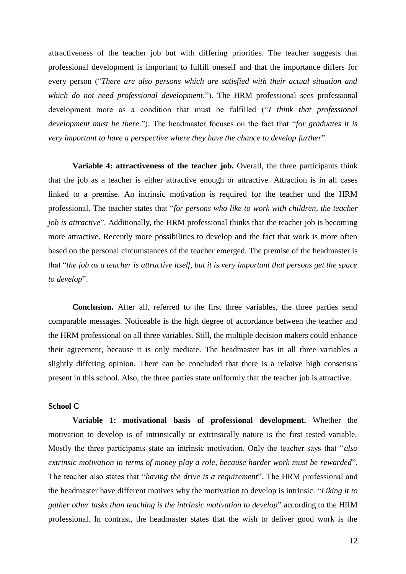attractiveness of the teacher job but with differing priorities. The teacher suggests that professional development is important to fulfill oneself and that the importance differs for every person ("*There are also persons which are satisfied with their actual situation and which do not need professional development.*"). The HRM professional sees professional development more as a condition that must be fulfilled ("*I think that professional development must be there*."). The headmaster focuses on the fact that "*for graduates it is very important to have a perspective where they have the chance to develop further*".

**Variable 4: attractiveness of the teacher job.** Overall, the three participants think that the job as a teacher is either attractive enough or attractive. Attraction is in all cases linked to a premise. An intrinsic motivation is required for the teacher und the HRM professional. The teacher states that "*for persons who like to work with children, the teacher job is attractive*". Additionally, the HRM professional thinks that the teacher job is becoming more attractive. Recently more possibilities to develop and the fact that work is more often based on the personal circumstances of the teacher emerged. The premise of the headmaster is that "*the job as a teacher is attractive itself, but it is very important that persons get the space to develop*".

**Conclusion.** After all, referred to the first three variables, the three parties send comparable messages. Noticeable is the high degree of accordance between the teacher and the HRM professional on all three variables. Still, the multiple decision makers could enhance their agreement, because it is only mediate. The headmaster has in all three variables a slightly differing opinion. There can be concluded that there is a relative high consensus present in this school. Also, the three parties state uniformly that the teacher job is attractive.

#### **School C**

**Variable 1: motivational basis of professional development.** Whether the motivation to develop is of intrinsically or extrinsically nature is the first tested variable. Mostly the three participants state an intrinsic motivation. Only the teacher says that "*also extrinsic motivation in terms of money play a role, because harder work must be rewarded*". The teacher also states that "*having the drive is a requirement*". The HRM professional and the headmaster have different motives why the motivation to develop is intrinsic. "*Liking it to gather other tasks than teaching is the intrinsic motivation to develop*" according to the HRM professional. In contrast, the headmaster states that the wish to deliver good work is the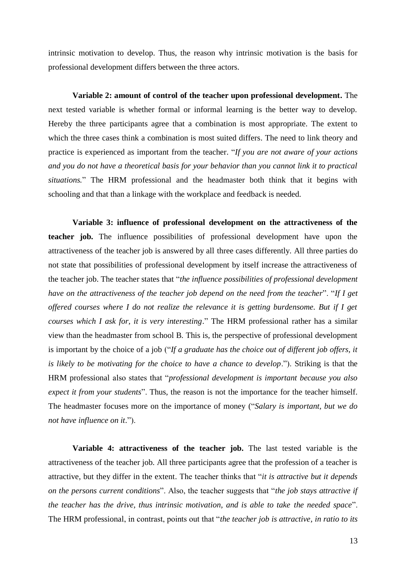intrinsic motivation to develop. Thus, the reason why intrinsic motivation is the basis for professional development differs between the three actors.

**Variable 2: amount of control of the teacher upon professional development.** The next tested variable is whether formal or informal learning is the better way to develop. Hereby the three participants agree that a combination is most appropriate. The extent to which the three cases think a combination is most suited differs. The need to link theory and practice is experienced as important from the teacher. "*If you are not aware of your actions and you do not have a theoretical basis for your behavior than you cannot link it to practical situations.*" The HRM professional and the headmaster both think that it begins with schooling and that than a linkage with the workplace and feedback is needed.

**Variable 3: influence of professional development on the attractiveness of the teacher job.** The influence possibilities of professional development have upon the attractiveness of the teacher job is answered by all three cases differently. All three parties do not state that possibilities of professional development by itself increase the attractiveness of the teacher job. The teacher states that "*the influence possibilities of professional development have on the attractiveness of the teacher job depend on the need from the teacher*". "*If I get offered courses where I do not realize the relevance it is getting burdensome. But if I get courses which I ask for, it is very interesting*." The HRM professional rather has a similar view than the headmaster from school B. This is, the perspective of professional development is important by the choice of a job ("*If a graduate has the choice out of different job offers, it is likely to be motivating for the choice to have a chance to develop*."). Striking is that the HRM professional also states that "*professional development is important because you also expect it from your students*". Thus, the reason is not the importance for the teacher himself. The headmaster focuses more on the importance of money ("*Salary is important, but we do not have influence on it*.").

**Variable 4: attractiveness of the teacher job.** The last tested variable is the attractiveness of the teacher job. All three participants agree that the profession of a teacher is attractive, but they differ in the extent. The teacher thinks that "*it is attractive but it depends on the persons current conditions*". Also, the teacher suggests that "*the job stays attractive if the teacher has the drive, thus intrinsic motivation, and is able to take the needed space*". The HRM professional, in contrast, points out that "*the teacher job is attractive, in ratio to its*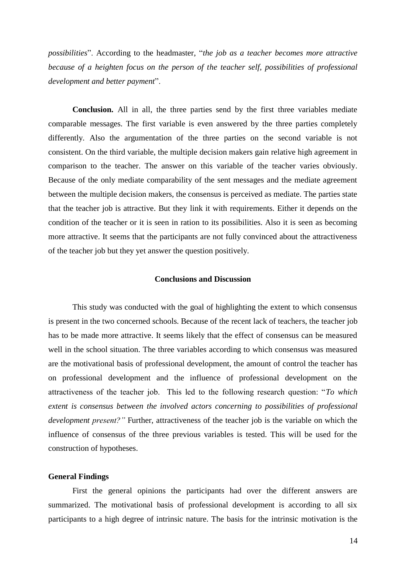*possibilities*". According to the headmaster, "*the job as a teacher becomes more attractive because of a heighten focus on the person of the teacher self, possibilities of professional development and better payment*".

**Conclusion.** All in all, the three parties send by the first three variables mediate comparable messages. The first variable is even answered by the three parties completely differently. Also the argumentation of the three parties on the second variable is not consistent. On the third variable, the multiple decision makers gain relative high agreement in comparison to the teacher. The answer on this variable of the teacher varies obviously. Because of the only mediate comparability of the sent messages and the mediate agreement between the multiple decision makers, the consensus is perceived as mediate. The parties state that the teacher job is attractive. But they link it with requirements. Either it depends on the condition of the teacher or it is seen in ration to its possibilities. Also it is seen as becoming more attractive. It seems that the participants are not fully convinced about the attractiveness of the teacher job but they yet answer the question positively.

#### **Conclusions and Discussion**

This study was conducted with the goal of highlighting the extent to which consensus is present in the two concerned schools. Because of the recent lack of teachers, the teacher job has to be made more attractive. It seems likely that the effect of consensus can be measured well in the school situation. The three variables according to which consensus was measured are the motivational basis of professional development, the amount of control the teacher has on professional development and the influence of professional development on the attractiveness of the teacher job. This led to the following research question: "*To which extent is consensus between the involved actors concerning to possibilities of professional development present?"* Further, attractiveness of the teacher job is the variable on which the influence of consensus of the three previous variables is tested. This will be used for the construction of hypotheses.

#### **General Findings**

First the general opinions the participants had over the different answers are summarized. The motivational basis of professional development is according to all six participants to a high degree of intrinsic nature. The basis for the intrinsic motivation is the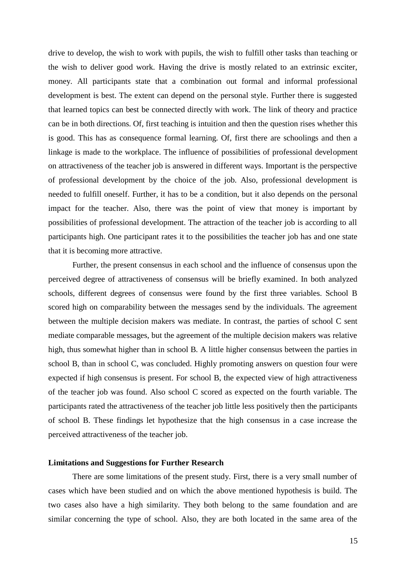drive to develop, the wish to work with pupils, the wish to fulfill other tasks than teaching or the wish to deliver good work. Having the drive is mostly related to an extrinsic exciter, money. All participants state that a combination out formal and informal professional development is best. The extent can depend on the personal style. Further there is suggested that learned topics can best be connected directly with work. The link of theory and practice can be in both directions. Of, first teaching is intuition and then the question rises whether this is good. This has as consequence formal learning. Of, first there are schoolings and then a linkage is made to the workplace. The influence of possibilities of professional development on attractiveness of the teacher job is answered in different ways. Important is the perspective of professional development by the choice of the job. Also, professional development is needed to fulfill oneself. Further, it has to be a condition, but it also depends on the personal impact for the teacher. Also, there was the point of view that money is important by possibilities of professional development. The attraction of the teacher job is according to all participants high. One participant rates it to the possibilities the teacher job has and one state that it is becoming more attractive.

Further, the present consensus in each school and the influence of consensus upon the perceived degree of attractiveness of consensus will be briefly examined. In both analyzed schools, different degrees of consensus were found by the first three variables. School B scored high on comparability between the messages send by the individuals. The agreement between the multiple decision makers was mediate. In contrast, the parties of school C sent mediate comparable messages, but the agreement of the multiple decision makers was relative high, thus somewhat higher than in school B. A little higher consensus between the parties in school B, than in school C, was concluded. Highly promoting answers on question four were expected if high consensus is present. For school B, the expected view of high attractiveness of the teacher job was found. Also school C scored as expected on the fourth variable. The participants rated the attractiveness of the teacher job little less positively then the participants of school B. These findings let hypothesize that the high consensus in a case increase the perceived attractiveness of the teacher job.

#### **Limitations and Suggestions for Further Research**

There are some limitations of the present study. First, there is a very small number of cases which have been studied and on which the above mentioned hypothesis is build. The two cases also have a high similarity. They both belong to the same foundation and are similar concerning the type of school. Also, they are both located in the same area of the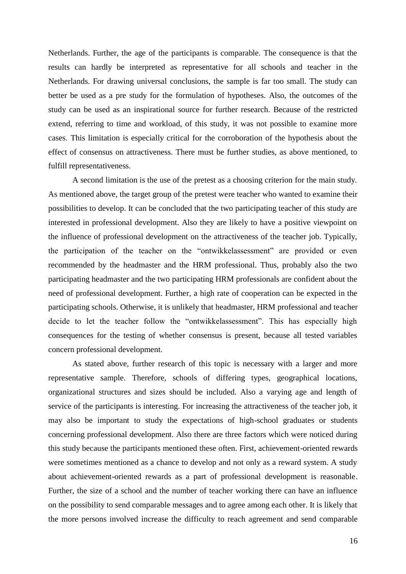Netherlands. Further, the age of the participants is comparable. The consequence is that the results can hardly be interpreted as representative for all schools and teacher in the Netherlands. For drawing universal conclusions, the sample is far too small. The study can better be used as a pre study for the formulation of hypotheses. Also, the outcomes of the study can be used as an inspirational source for further research. Because of the restricted extend, referring to time and workload, of this study, it was not possible to examine more cases. This limitation is especially critical for the corroboration of the hypothesis about the effect of consensus on attractiveness. There must be further studies, as above mentioned, to fulfill representativeness.

A second limitation is the use of the pretest as a choosing criterion for the main study. As mentioned above, the target group of the pretest were teacher who wanted to examine their possibilities to develop. It can be concluded that the two participating teacher of this study are interested in professional development. Also they are likely to have a positive viewpoint on the influence of professional development on the attractiveness of the teacher job. Typically, the participation of the teacher on the "ontwikkelassessment" are provided or even recommended by the headmaster and the HRM professional. Thus, probably also the two participating headmaster and the two participating HRM professionals are confident about the need of professional development. Further, a high rate of cooperation can be expected in the participating schools. Otherwise, it is unlikely that headmaster, HRM professional and teacher decide to let the teacher follow the "ontwikkelassessment". This has especially high consequences for the testing of whether consensus is present, because all tested variables concern professional development.

As stated above, further research of this topic is necessary with a larger and more representative sample. Therefore, schools of differing types, geographical locations, organizational structures and sizes should be included. Also a varying age and length of service of the participants is interesting. For increasing the attractiveness of the teacher job, it may also be important to study the expectations of high-school graduates or students concerning professional development. Also there are three factors which were noticed during this study because the participants mentioned these often. First, achievement-oriented rewards were sometimes mentioned as a chance to develop and not only as a reward system. A study about achievement-oriented rewards as a part of professional development is reasonable. Further, the size of a school and the number of teacher working there can have an influence on the possibility to send comparable messages and to agree among each other. It is likely that the more persons involved increase the difficulty to reach agreement and send comparable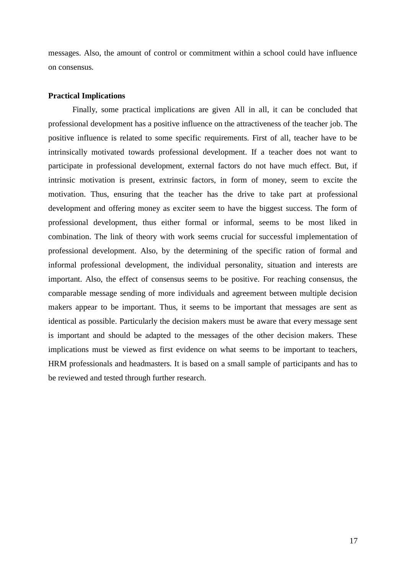messages. Also, the amount of control or commitment within a school could have influence on consensus.

#### **Practical Implications**

Finally, some practical implications are given All in all, it can be concluded that professional development has a positive influence on the attractiveness of the teacher job. The positive influence is related to some specific requirements. First of all, teacher have to be intrinsically motivated towards professional development. If a teacher does not want to participate in professional development, external factors do not have much effect. But, if intrinsic motivation is present, extrinsic factors, in form of money, seem to excite the motivation. Thus, ensuring that the teacher has the drive to take part at professional development and offering money as exciter seem to have the biggest success. The form of professional development, thus either formal or informal, seems to be most liked in combination. The link of theory with work seems crucial for successful implementation of professional development. Also, by the determining of the specific ration of formal and informal professional development, the individual personality, situation and interests are important. Also, the effect of consensus seems to be positive. For reaching consensus, the comparable message sending of more individuals and agreement between multiple decision makers appear to be important. Thus, it seems to be important that messages are sent as identical as possible. Particularly the decision makers must be aware that every message sent is important and should be adapted to the messages of the other decision makers. These implications must be viewed as first evidence on what seems to be important to teachers, HRM professionals and headmasters. It is based on a small sample of participants and has to be reviewed and tested through further research.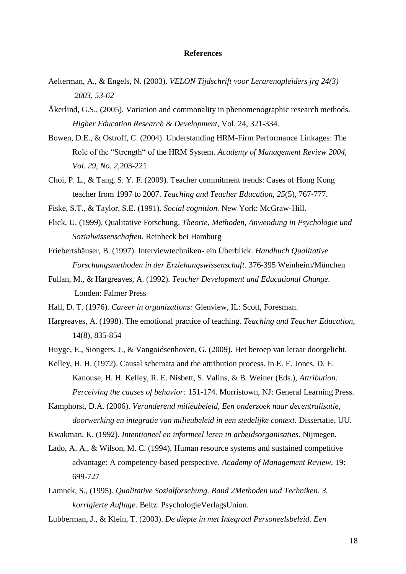#### **References**

- Aelterman, A., & Engels, N. (2003). *VELON Tijdschrift voor Lerarenopleiders jrg 24(3) 2003, 53-62*
- Åkerlind, G.S., (2005). Variation and commonality in phenomenographic research methods. *Higher Education Research & Development*, Vol. 24, 321-334.
- Bowen, D.E., & Ostroff, C. (2004). Understanding HRM-Firm Performance Linkages: The Role of the "Strength" of the HRM System. *Academy of Management Review 2004, Vol. 29, No. 2,*203-221
- Choi, P. L., & Tang, S. Y. F. (2009). Teacher commitment trends: Cases of Hong Kong teacher from 1997 to 2007. *Teaching and Teacher Education, 25*(5), 767-777.
- Fiske, S.T., & Taylor, S.E. (1991). *Social cognition.* New York: McGraw-Hill.
- Flick, U. (1999). Qualitative Forschung. *Theorie, Methoden, Anwendung in Psychologie und Sozialwissenschaften.* Reinbeck bei Hamburg
- Friebertshäuser, B. (1997). Interviewtechniken- ein Überblick. *Handbuch Qualitative Forschungsmethoden in der Erziehungswissenschaft.* 376-395 Weinheim/München
- Fullan, M., & Hargreaves, A. (1992). *Teacher Development and Educational Change.* Londen: Falmer Press
- Hall, D. T. (1976). *Career in organizations:* Glenview, IL: Scott, Foresman.
- Hargreaves, A. (1998). The emotional practice of teaching. *Teaching and Teacher Education,*  14(8), 835-854
- Huyge, E., Siongers, J., & Vangoidsenhoven, G. (2009). Het beroep van leraar doorgelicht.
- Kelley, H. H. (1972). Causal schemata and the attribution process. In E. E. Jones, D. E. Kanouse, H. H. Kelley, R. E. Nisbett, S. Valins, & B. Weiner (Eds.), *Attribution: Perceiving the causes of behavior:* 151-174. Morristown, NJ: General Learning Press.
- Kamphorst, D.A. (2006). *Veranderend milieubeleid, Een onderzoek naar decentralisatie, doorwerking en integratie van milieubeleid in een stedelijke context.* Dissertatie, UU.
- Kwakman, K. (1992). *Intentioneel en informeel leren in arbeidsorganisaties*. Nijmegen.
- Lado, A. A., & Wilson, M. C. (1994). Human resource systems and sustained competitive advantage: A competency-based perspective. *Academy of Management Review,* 19: 699-727
- Lamnek, S., (1995). *Qualitative Sozialforschung. Band 2Methoden und Techniken. 3. korrigierte Auflage.* Beltz: PsychologieVerlagsUnion.
- Lubberman, J., & Klein, T. (2003). *De diepte in met Integraal Personeelsbeleid. Een*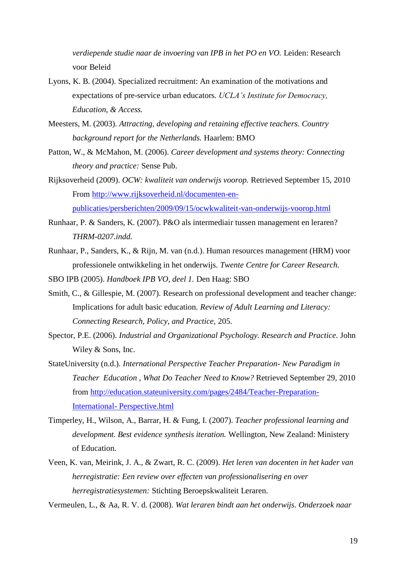verdiepende studie naar de invoering van IPB in het PO en VO. Leiden: Research voor Beleid

- Lyons, K. B. (2004). Specialized recruitment: An examination of the motivations and expectations of pre-service urban educators. *UCLA's Institute for Democracy, Education, & Access.*
- Meesters, M. (2003). *Attracting, developing and retaining effective teachers. Country background report for the Netherlands.* Haarlem: BMO
- Patton, W., & McMahon, M. (2006). *Career development and systems theory: Connecting theory and practice:* Sense Pub.
- Rijksoverheid (2009). *OCW: kwaliteit van onderwijs voorop.* Retrieved September 15, 2010 From [http://www.rijksoverheid.nl/documenten-en](http://www.rijksoverheid.nl/documenten-en-publicaties/persberichten/2009/09/15/ocwkwaliteit-van-onderwijs-voorop.html)[publicaties/persberichten/2009/09/15/ocwkwaliteit-van-onderwijs-voorop.html](http://www.rijksoverheid.nl/documenten-en-publicaties/persberichten/2009/09/15/ocwkwaliteit-van-onderwijs-voorop.html)
- Runhaar, P. & Sanders, K. (2007). P&O als intermediair tussen management en leraren? *THRM-0207.indd.*
- Runhaar, P., Sanders, K., & Rijn, M. van (n.d.). Human resources management (HRM) voor professionele ontwikkeling in het onderwijs. *Twente Centre for Career Research.*
- SBO IPB (2005). *Handboek IPB VO, deel 1.* Den Haag: SBO
- Smith, C., & Gillespie, M. (2007). Research on professional development and teacher change: Implications for adult basic education. *Review of Adult Learning and Literacy: Connecting Research, Policy, and Practice,* 205.
- Spector, P.E. (2006). *Industrial and Organizational Psychology. Research and Practice.* John Wiley & Sons, Inc.
- StateUniversity (n.d.). *International Perspective Teacher Preparation- New Paradigm in Teacher Education , What Do Teacher Need to Know?* Retrieved September 29, 2010 from [http://education.stateuniversity.com/pages/2484/Teacher-Preparation-](http://education.stateuniversity.com/pages/2484/Teacher-Preparation-International-%20Perspective.html)International- [Perspective.html](http://education.stateuniversity.com/pages/2484/Teacher-Preparation-International-%20Perspective.html)
- Timperley, H., Wilson, A., Barrar, H. & Fung, I. (2007). *Teacher professional learning and development. Best evidence synthesis iteration.* Wellington, New Zealand: Ministery of Education.
- Veen, K. van, Meirink, J. A., & Zwart, R. C. (2009). *Het leren van docenten in het kader van herregistratie: Een review over effecten van professionalisering en over herregistratiesystemen:* Stichting Beroepskwaliteit Leraren.

Vermeulen, L., & Aa, R. V. d. (2008). *Wat leraren bindt aan het onderwijs. Onderzoek naar*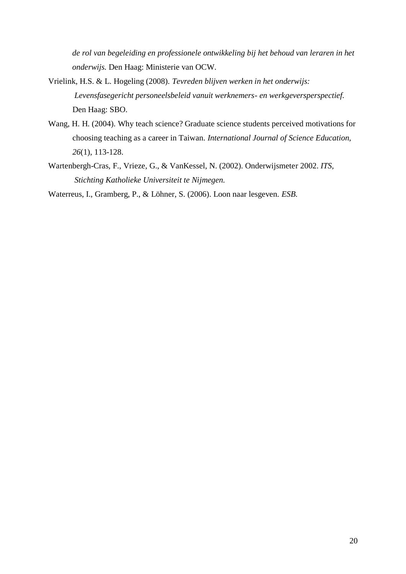*de rol van begeleiding en professionele ontwikkeling bij het behoud van leraren in het onderwijs.* Den Haag: Ministerie van OCW.

- Vrielink, H.S. & L. Hogeling (2008). *Tevreden blijven werken in het onderwijs: Levensfasegericht personeelsbeleid vanuit werknemers- en werkgeversperspectief.*  Den Haag: SBO.
- Wang, H. H. (2004). Why teach science? Graduate science students perceived motivations for choosing teaching as a career in Taiwan. *International Journal of Science Education, 26*(1), 113-128.
- Wartenbergh-Cras, F., Vrieze, G., & VanKessel, N. (2002). Onderwijsmeter 2002. *ITS, Stichting Katholieke Universiteit te Nijmegen.*

Waterreus, I., Gramberg, P., & Löhner, S. (2006). Loon naar lesgeven. *ESB.*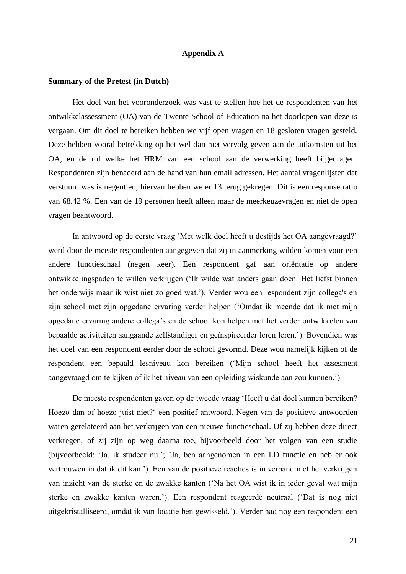#### **Appendix A**

#### **Summary of the Pretest (in Dutch)**

Het doel van het vooronderzoek was vast te stellen hoe het de respondenten van het ontwikkelassessment (OA) van de Twente School of Education na het doorlopen van deze is vergaan. Om dit doel te bereiken hebben we vijf open vragen en 18 gesloten vragen gesteld. Deze hebben vooral betrekking op het wel dan niet vervolg geven aan de uitkomsten uit het OA, en de rol welke het HRM van een school aan de verwerking heeft bijgedragen. Respondenten zijn benaderd aan de hand van hun email adressen. Het aantal vragenlijsten dat verstuurd was is negentien, hiervan hebben we er 13 terug gekregen. Dit is een response ratio van 68.42 %. Een van de 19 personen heeft alleen maar de meerkeuzevragen en niet de open vragen beantwoord.

In antwoord op de eerste vraag "Met welk doel heeft u destijds het OA aangevraagd?" werd door de meeste respondenten aangegeven dat zij in aanmerking wilden komen voor een andere functieschaal (negen keer). Een respondent gaf aan oriëntatie op andere ontwikkelingspaden te willen verkrijgen ("Ik wilde wat anders gaan doen. Het liefst binnen het onderwijs maar ik wist niet zo goed wat."). Verder wou een respondent zijn collega's en zijn school met zijn opgedane ervaring verder helpen ("Omdat ik meende dat ik met mijn opgedane ervaring andere collega"s en de school kon helpen met het verder ontwikkelen van bepaalde activiteiten aangaande zelfstandiger en geïnspireerder leren leren."). Bovendien was het doel van een respondent eerder door de school gevormd. Deze wou namelijk kijken of de respondent een bepaald lesniveau kon bereiken ("Mijn school heeft het assesment aangevraagd om te kijken of ik het niveau van een opleiding wiskunde aan zou kunnen.").

De meeste respondenten gaven op de tweede vraag "Heeft u dat doel kunnen bereiken? Hoezo dan of hoezo juist niet?" een positief antwoord. Negen van de positieve antwoorden waren gerelateerd aan het verkrijgen van een nieuwe functieschaal. Of zij hebben deze direct verkregen, of zij zijn op weg daarna toe, bijvoorbeeld door het volgen van een studie (bijvoorbeeld: "Ja, ik studeer nu."; "Ja, ben aangenomen in een LD functie en heb er ook vertrouwen in dat ik dit kan."). Een van de positieve reacties is in verband met het verkrijgen van inzicht van de sterke en de zwakke kanten ("Na het OA wist ik in ieder geval wat mijn sterke en zwakke kanten waren."). Een respondent reageerde neutraal ("Dat is nog niet uitgekristalliseerd, omdat ik van locatie ben gewisseld."). Verder had nog een respondent een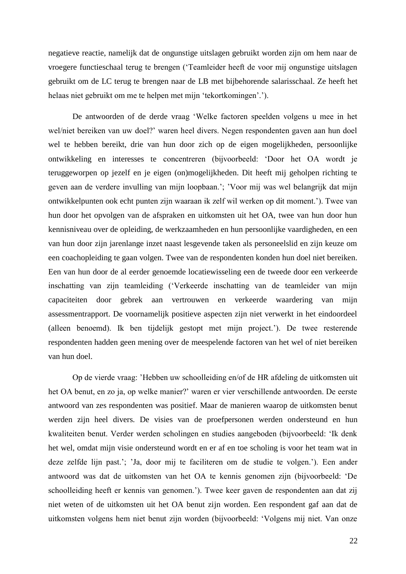negatieve reactie, namelijk dat de ongunstige uitslagen gebruikt worden zijn om hem naar de vroegere functieschaal terug te brengen ("Teamleider heeft de voor mij ongunstige uitslagen gebruikt om de LC terug te brengen naar de LB met bijbehorende salarisschaal. Ze heeft het helaas niet gebruikt om me te helpen met mijn 'tekortkomingen'.').

De antwoorden of de derde vraag "Welke factoren speelden volgens u mee in het wel/niet bereiken van uw doel?" waren heel divers. Negen respondenten gaven aan hun doel wel te hebben bereikt, drie van hun door zich op de eigen mogelijkheden, persoonlijke ontwikkeling en interesses te concentreren (bijvoorbeeld: "Door het OA wordt je teruggeworpen op jezelf en je eigen (on)mogelijkheden. Dit heeft mij geholpen richting te geven aan de verdere invulling van mijn loopbaan."; "Voor mij was wel belangrijk dat mijn ontwikkelpunten ook echt punten zijn waaraan ik zelf wil werken op dit moment."). Twee van hun door het opvolgen van de afspraken en uitkomsten uit het OA, twee van hun door hun kennisniveau over de opleiding, de werkzaamheden en hun persoonlijke vaardigheden, en een van hun door zijn jarenlange inzet naast lesgevende taken als personeelslid en zijn keuze om een coachopleiding te gaan volgen. Twee van de respondenten konden hun doel niet bereiken. Een van hun door de al eerder genoemde locatiewisseling een de tweede door een verkeerde inschatting van zijn teamleiding ("Verkeerde inschatting van de teamleider van mijn capaciteiten door gebrek aan vertrouwen en verkeerde waardering van mijn assessmentrapport. De voornamelijk positieve aspecten zijn niet verwerkt in het eindoordeel (alleen benoemd). Ik ben tijdelijk gestopt met mijn project."). De twee resterende respondenten hadden geen mening over de meespelende factoren van het wel of niet bereiken van hun doel.

Op de vierde vraag: "Hebben uw schoolleiding en/of de HR afdeling de uitkomsten uit het OA benut, en zo ja, op welke manier?" waren er vier verschillende antwoorden. De eerste antwoord van zes respondenten was positief. Maar de manieren waarop de uitkomsten benut werden zijn heel divers. De visies van de proefpersonen werden ondersteund en hun kwaliteiten benut. Verder werden scholingen en studies aangeboden (bijvoorbeeld: "Ik denk het wel, omdat mijn visie ondersteund wordt en er af en toe scholing is voor het team wat in deze zelfde lijn past."; "Ja, door mij te faciliteren om de studie te volgen."). Een ander antwoord was dat de uitkomsten van het OA te kennis genomen zijn (bijvoorbeeld: "De schoolleiding heeft er kennis van genomen."). Twee keer gaven de respondenten aan dat zij niet weten of de uitkomsten uit het OA benut zijn worden. Een respondent gaf aan dat de uitkomsten volgens hem niet benut zijn worden (bijvoorbeeld: "Volgens mij niet. Van onze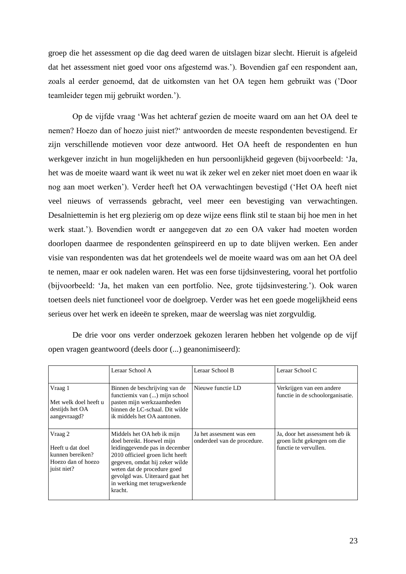groep die het assessment op die dag deed waren de uitslagen bizar slecht. Hieruit is afgeleid dat het assessment niet goed voor ons afgestemd was."). Bovendien gaf een respondent aan, zoals al eerder genoemd, dat de uitkomsten van het OA tegen hem gebruikt was ("Door teamleider tegen mij gebruikt worden.").

Op de vijfde vraag "Was het achteraf gezien de moeite waard om aan het OA deel te nemen? Hoezo dan of hoezo juist niet?" antwoorden de meeste respondenten bevestigend. Er zijn verschillende motieven voor deze antwoord. Het OA heeft de respondenten en hun werkgever inzicht in hun mogelijkheden en hun persoonlijkheid gegeven (bijvoorbeeld: "Ja, het was de moeite waard want ik weet nu wat ik zeker wel en zeker niet moet doen en waar ik nog aan moet werken"). Verder heeft het OA verwachtingen bevestigd ("Het OA heeft niet veel nieuws of verrassends gebracht, veel meer een bevestiging van verwachtingen. Desalniettemin is het erg plezierig om op deze wijze eens flink stil te staan bij hoe men in het werk staat."). Bovendien wordt er aangegeven dat zo een OA vaker had moeten worden doorlopen daarmee de respondenten geïnspireerd en up to date blijven werken. Een ander visie van respondenten was dat het grotendeels wel de moeite waard was om aan het OA deel te nemen, maar er ook nadelen waren. Het was een forse tijdsinvestering, vooral het portfolio (bijvoorbeeld: "Ja, het maken van een portfolio. Nee, grote tijdsinvestering."). Ook waren toetsen deels niet functioneel voor de doelgroep. Verder was het een goede mogelijkheid eens serieus over het werk en ideeën te spreken, maar de weerslag was niet zorgvuldig.

De drie voor ons verder onderzoek gekozen leraren hebben het volgende op de vijf open vragen geantwoord (deels door (...) geanonimiseerd):

|                                                                                      | Leraar School A                                                                                                                                                                                                                                                              | Leraar School B                                         | Leraar School C                                                                        |
|--------------------------------------------------------------------------------------|------------------------------------------------------------------------------------------------------------------------------------------------------------------------------------------------------------------------------------------------------------------------------|---------------------------------------------------------|----------------------------------------------------------------------------------------|
| Vraag 1<br>Met welk doel heeft u<br>destijds het OA<br>aangevraagd?                  | Binnen de beschrijving van de<br>functiemix van () mijn school<br>pasten mijn werkzaamheden<br>binnen de LC-schaal. Dit wilde<br>ik middels het OA aantonen.                                                                                                                 | Nieuwe functie LD                                       | Verkrijgen van een andere<br>functie in de schoolorganisatie.                          |
| Vraag 2<br>Heeft u dat doel<br>kunnen bereiken?<br>Hoezo dan of hoezo<br>juist niet? | Middels het OA heb ik mijn<br>doel bereikt. Hoewel mijn<br>leidinggevende pas in december<br>2010 officieel groen licht heeft<br>gegeven, omdat hij zeker wilde<br>weten dat de procedure goed<br>gevolgd was. Uiteraard gaat het<br>in werking met terugwerkende<br>kracht. | Ja het assesment was een<br>onderdeel van de procedure. | Ja, door het assessment heb ik<br>groen licht gekregen om die<br>functie te vervullen. |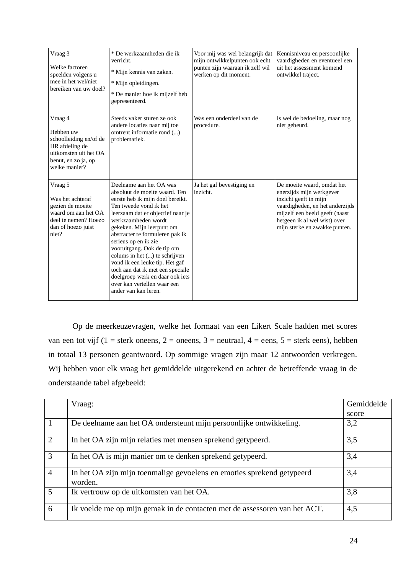| Vraag 3<br>Welke factoren<br>speelden volgens u<br>mee in het wel/niet<br>bereiken van uw doel?                                   | * De werkzaamheden die ik<br>verricht.<br>* Mijn kennis van zaken.<br>* Mijn opleidingen.<br>* De manier hoe ik mijzelf heb<br>gepresenteerd.                                                                                                                                                                                                                                                                                                                                                             | Voor mij was wel belangrijk dat<br>mijn ontwikkelpunten ook echt<br>punten zijn waaraan ik zelf wil<br>werken op dit moment. | Kennisniveau en persoonlijke<br>vaardigheden en eventueel een<br>uit het assessment komend<br>ontwikkel traject.                                                                                                      |
|-----------------------------------------------------------------------------------------------------------------------------------|-----------------------------------------------------------------------------------------------------------------------------------------------------------------------------------------------------------------------------------------------------------------------------------------------------------------------------------------------------------------------------------------------------------------------------------------------------------------------------------------------------------|------------------------------------------------------------------------------------------------------------------------------|-----------------------------------------------------------------------------------------------------------------------------------------------------------------------------------------------------------------------|
| Vraag 4<br>Hebben uw<br>schoolleiding en/of de<br>HR afdeling de<br>uitkomsten uit het OA<br>benut, en zo ja, op<br>welke manier? | Steeds vaker sturen ze ook<br>andere locaties naar mij toe<br>omtrent informatie rond ()<br>problematiek.                                                                                                                                                                                                                                                                                                                                                                                                 | Was een onderdeel van de<br>procedure.                                                                                       | Is wel de bedoeling, maar nog<br>niet gebeurd.                                                                                                                                                                        |
| Vraag 5<br>Was het achteraf<br>gezien de moeite<br>waard om aan het OA<br>deel te nemen? Hoezo<br>dan of hoezo juist<br>niet?     | Deelname aan het OA was<br>absoluut de moeite waard. Ten<br>eerste heb ik mijn doel bereikt.<br>Ten tweede vond ik het<br>leerzaam dat er objectief naar je<br>werkzaamheden wordt<br>gekeken. Mijn leerpunt om<br>abstracter te formuleren pak ik<br>serieus op en ik zie<br>vooruitgang. Ook de tip om<br>colums in het () te schrijven<br>vond ik een leuke tip. Het gaf<br>toch aan dat ik met een speciale<br>doelgroep werk en daar ook iets<br>over kan vertellen waar een<br>ander van kan leren. | Ja het gaf bevestiging en<br>inzicht.                                                                                        | De moeite waard, omdat het<br>enerzijds mijn werkgever<br>inzicht geeft in mijn<br>vaardigheden, en het anderzijds<br>mijzelf een beeld geeft (naast<br>hetgeen ik al wel wist) over<br>mijn sterke en zwakke punten. |

Op de meerkeuzevragen, welke het formaat van een Likert Scale hadden met scores van een tot vijf (1 = sterk oneens, 2 = oneens, 3 = neutraal, 4 = eens, 5 = sterk eens), hebben in totaal 13 personen geantwoord. Op sommige vragen zijn maar 12 antwoorden verkregen. Wij hebben voor elk vraag het gemiddelde uitgerekend en achter de betreffende vraag in de onderstaande tabel afgebeeld:

|                | Vraag:                                                                            | Gemiddelde |
|----------------|-----------------------------------------------------------------------------------|------------|
|                |                                                                                   | score      |
|                | De deelname aan het OA ondersteunt mijn persoonlijke ontwikkeling.                | 3,2        |
| $\overline{2}$ | In het OA zijn mijn relaties met mensen sprekend getypeerd.                       | 3,5        |
| 3              | In het OA is mijn manier om te denken sprekend getypeerd.                         | 3,4        |
| $\overline{4}$ | In het OA zijn mijn toenmalige gevoelens en emoties sprekend getypeerd<br>worden. | 3,4        |
| 5              | Ik vertrouw op de uitkomsten van het OA.                                          | 3,8        |
| 6              | Ik voelde me op mijn gemak in de contacten met de assessoren van het ACT.         | 4,5        |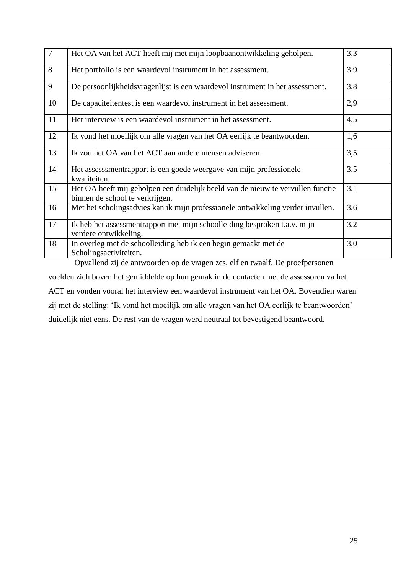| $\overline{7}$ | Het OA van het ACT heeft mij met mijn loopbaanontwikkeling geholpen.                                               | 3,3 |
|----------------|--------------------------------------------------------------------------------------------------------------------|-----|
| 8              | Het portfolio is een waardevol instrument in het assessment.                                                       | 3,9 |
| 9              | De persoonlijkheidsvragenlijst is een waardevol instrument in het assessment.                                      | 3,8 |
| 10             | De capaciteitentest is een waardevol instrument in het assessment.                                                 | 2,9 |
| 11             | Het interview is een waardevol instrument in het assessment.                                                       | 4,5 |
| 12             | Ik vond het moeilijk om alle vragen van het OA eerlijk te beantwoorden.                                            | 1,6 |
| 13             | Ik zou het OA van het ACT aan andere mensen adviseren.                                                             | 3,5 |
| 14             | Het assesssmentrapport is een goede weergave van mijn professionele<br>kwaliteiten.                                | 3,5 |
| 15             | Het OA heeft mij geholpen een duidelijk beeld van de nieuw te vervullen functie<br>binnen de school te verkrijgen. | 3,1 |
| 16             | Met het scholingsadvies kan ik mijn professionele ontwikkeling verder invullen.                                    | 3,6 |
| 17             | Ik heb het assessmentrapport met mijn schoolleiding besproken t.a.v. mijn<br>verdere ontwikkeling.                 | 3,2 |
| 18             | In overleg met de schoolleiding heb ik een begin gemaakt met de<br>Scholingsactiviteiten.                          | 3,0 |

Opvallend zij de antwoorden op de vragen zes, elf en twaalf. De proefpersonen

voelden zich boven het gemiddelde op hun gemak in de contacten met de assessoren va het ACT en vonden vooral het interview een waardevol instrument van het OA. Bovendien waren zij met de stelling: 'Ik vond het moeilijk om alle vragen van het OA eerlijk te beantwoorden' duidelijk niet eens. De rest van de vragen werd neutraal tot bevestigend beantwoord.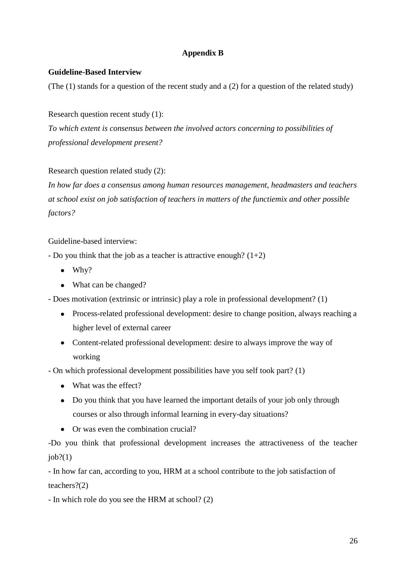#### **Appendix B**

#### **Guideline-Based Interview**

(The (1) stands for a question of the recent study and a (2) for a question of the related study)

Research question recent study (1):

*To which extent is consensus between the involved actors concerning to possibilities of professional development present?*

#### Research question related study (2):

*In how far does a consensus among human resources management, headmasters and teachers at school exist on job satisfaction of teachers in matters of the functiemix and other possible factors?*

#### Guideline-based interview:

- Do you think that the job as a teacher is attractive enough?  $(1+2)$ 

- Why?
- What can be changed?
- Does motivation (extrinsic or intrinsic) play a role in professional development? (1)
	- Process-related professional development: desire to change position, always reaching a higher level of external career
	- Content-related professional development: desire to always improve the way of working
- On which professional development possibilities have you self took part? (1)
	- What was the effect?
	- Do you think that you have learned the important details of your job only through courses or also through informal learning in every-day situations?
	- Or was even the combination crucial?

-Do you think that professional development increases the attractiveness of the teacher  $job?(1)$ 

- In how far can, according to you, HRM at a school contribute to the job satisfaction of teachers?(2)

- In which role do you see the HRM at school? (2)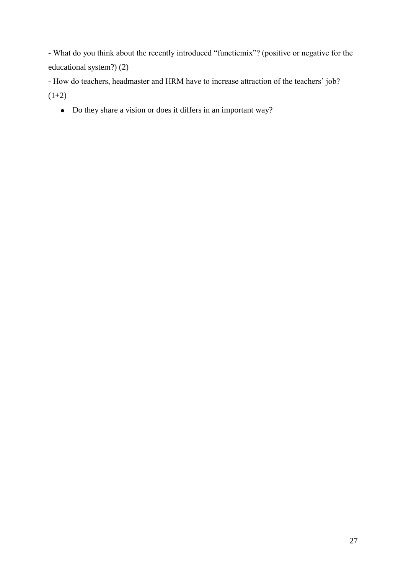- What do you think about the recently introduced "functiemix"? (positive or negative for the educational system?) (2)

- How do teachers, headmaster and HRM have to increase attraction of the teachers" job?  $(1+2)$ 

Do they share a vision or does it differs in an important way?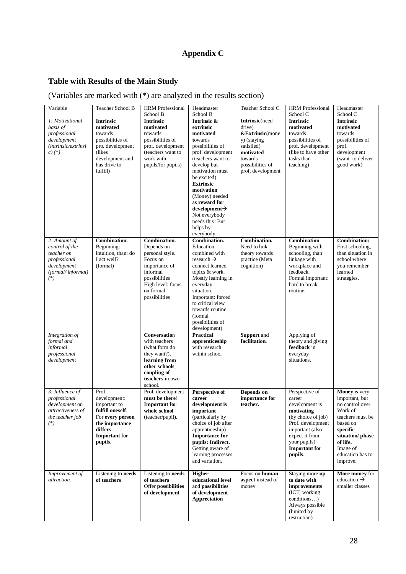### **Appendix C**

### **Table with Results of the Main Study**

(Variables are marked with (\*) are analyzed in the results section)

| Variable                    | <b>Teacher School B</b>  | <b>HRM</b> Professional       | Headmaster                             | Teacher School C            | <b>HRM</b> Professional         | Headmaster                   |
|-----------------------------|--------------------------|-------------------------------|----------------------------------------|-----------------------------|---------------------------------|------------------------------|
|                             |                          | School B                      | School B                               |                             | School C                        | School C                     |
| 1: Motivational             | <b>Intrinsic</b>         | <b>Intrinsic</b>              | Intrinsic &                            | Intrinsic(need              | <b>Intrinsic</b>                | <b>Intrinsic</b>             |
| basis of                    | motivated                | motivated                     | extrinsic                              | drive)                      | motivated                       | motivated                    |
| professional                | towards                  | towards                       | motivated                              | &Extrinsic(mone             | towards                         | towards                      |
| development                 | possibilities of         | possibilities of              | towards                                | y) (staying                 | possibilities of                | possibilities of             |
| (intrinsic/extrinsi         | pro. development         | prof. development             | possibilities of                       | satisfied)                  | prof. development               | prof.                        |
| $c)$ (*)                    | (likes)                  | (teachers want to             | prof. development                      | motivated                   | (like to have other             | development                  |
|                             | development and          | work with                     | (teachers want to                      | towards<br>possibilities of | tasks than                      | (want to deliver             |
|                             | has drive to<br>fulfill) | pupils/for pupils)            | develop but<br>motivation must         |                             | teaching)                       | good work)                   |
|                             |                          |                               | be excited)                            | prof. development           |                                 |                              |
|                             |                          |                               | <b>Extrinsic</b>                       |                             |                                 |                              |
|                             |                          |                               | motivation                             |                             |                                 |                              |
|                             |                          |                               | (Money) needed                         |                             |                                 |                              |
|                             |                          |                               | as reward for                          |                             |                                 |                              |
|                             |                          |                               | $d$ evelopment $\rightarrow$           |                             |                                 |                              |
|                             |                          |                               | Not everybody                          |                             |                                 |                              |
|                             |                          |                               | needs this! But                        |                             |                                 |                              |
|                             |                          |                               | helps by                               |                             |                                 |                              |
|                             |                          |                               | everybody.                             |                             |                                 |                              |
| 2: Amount of                | Combination.             | Combination.                  | Combination.                           | Combination.                | Combination.                    | <b>Combination:</b>          |
| control of the              | Beginning:               | Depends on                    | Education                              | Need to link                | Beginning with                  | First schooling,             |
| teacher on                  | intuition, than: do      | personal style.               | combined with                          | theory towards              | schooling, than                 | than situation in            |
| professional                | I act well?              | Focus on                      | research $\rightarrow$                 | practice (Meta              | linkage with                    | school where                 |
| development                 | (formal)                 | importance of<br>informal     | connect learned<br>topics & work.      | cognition)                  | workplace and<br>feedback.      | you remember<br>learned      |
| (formal/informal)<br>$(*)$  |                          | possibilities                 | Mostly learning in                     |                             | Formal important:               | strategies.                  |
|                             |                          | High level: focus             | everyday                               |                             | hard to break                   |                              |
|                             |                          | on formal                     | situation.                             |                             | routine.                        |                              |
|                             |                          | possibilities                 | Important: forced                      |                             |                                 |                              |
|                             |                          |                               | to critical view                       |                             |                                 |                              |
|                             |                          |                               | towards routine                        |                             |                                 |                              |
|                             |                          |                               | (formal                                |                             |                                 |                              |
|                             |                          |                               | possibilities of                       |                             |                                 |                              |
|                             |                          |                               | development)                           |                             |                                 |                              |
| Integration of              |                          | Conversation                  | <b>Practical</b>                       | <b>Support</b> and          | Applying of                     |                              |
| formal and                  |                          | with teachers                 | apprenticeship                         | facilitation.               | theory and giving               |                              |
| informal                    |                          | (what form do                 | with research                          |                             | feedback in                     |                              |
| professional<br>development |                          | they want?),<br>learning from | within school                          |                             | everyday<br>situations.         |                              |
|                             |                          | other schools.                |                                        |                             |                                 |                              |
|                             |                          | coupling of                   |                                        |                             |                                 |                              |
|                             |                          | teachers in own               |                                        |                             |                                 |                              |
|                             |                          | school.                       |                                        |                             |                                 |                              |
| 3: Influence of             | Prof.                    | Prof. development             | Perspective of                         | Depends on                  | Perspective of                  | Money is very                |
| professional                | development:             | must be there!                | career                                 | importance for              | career                          | important, but               |
| development on              | important to             | <b>Important for</b>          | development is                         | teacher.                    | development is                  | no control over.             |
| attractiveness of           | fulfill oneself.         | whole school                  | important                              |                             | motivating                      | Work of                      |
| the teacher job             | For every person         | (teacher/pupil).              | (particularly by                       |                             | (by choice of job)              | teachers must be             |
| $(*)$                       | the importance           |                               | choice of job after                    |                             | Prof. development               | based on                     |
|                             | differs.                 |                               | apprenticeship)                        |                             | important (also                 | specific                     |
|                             | <b>Important for</b>     |                               | <b>Importance for</b>                  |                             | expect it from                  | situation/phase              |
|                             | pupils.                  |                               | pupils: Indirect.                      |                             | your pupils)                    | of life.                     |
|                             |                          |                               | Getting aware of<br>learning processes |                             | <b>Important for</b><br>pupils. | Image of<br>education has to |
|                             |                          |                               | and variation.                         |                             |                                 | improve.                     |
|                             |                          |                               |                                        |                             |                                 |                              |
| Improvement of              | Listening to needs       | Listening to needs            | <b>Higher</b>                          | Focus on human              | Staying more up                 | More money for               |
| attraction.                 | of teachers              | of teachers                   | educational level                      | aspect instead of           | to date with                    | education $\rightarrow$      |
|                             |                          | Offer possibilities           | and possibilities                      | money                       | improvements                    | smaller classes              |
|                             |                          | of development                | of development                         |                             | (ICT, working                   |                              |
|                             |                          |                               |                                        |                             | conditions)                     |                              |
|                             |                          |                               | Appreciation                           |                             |                                 |                              |
|                             |                          |                               |                                        |                             | Always possible                 |                              |
|                             |                          |                               |                                        |                             | (limited by<br>restriction)     |                              |